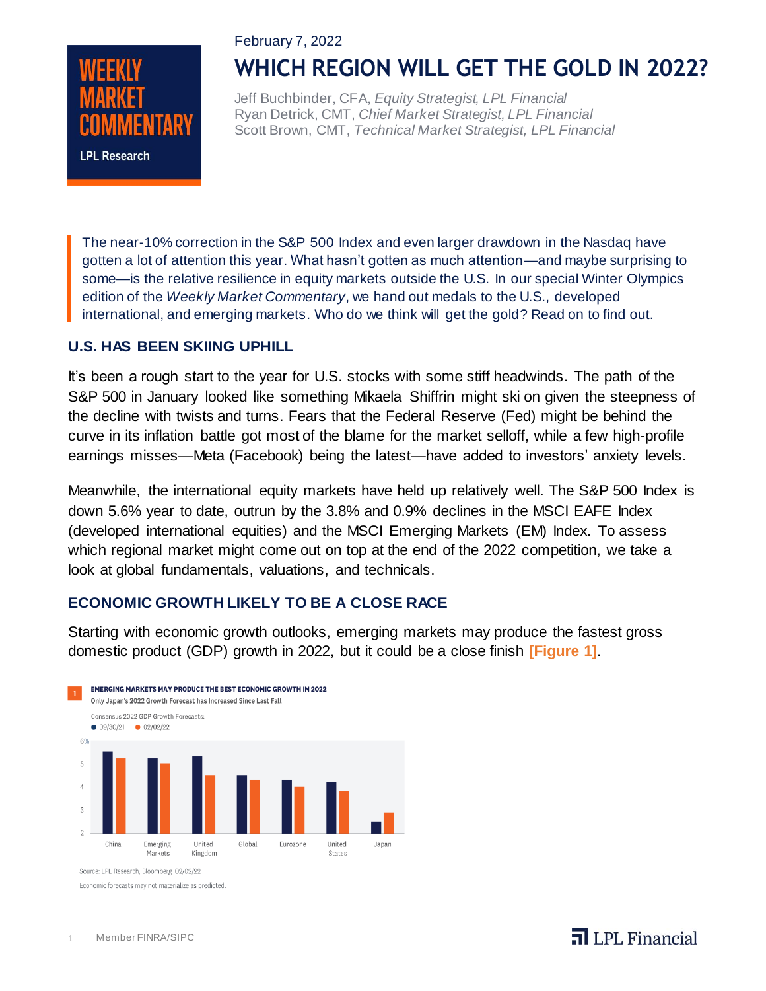# **LPL Research**

### February 7, 2022

# **WHICH REGION WILL GET THE GOLD IN 2022?**

Jeff Buchbinder, CFA, *Equity Strategist, LPL Financial* Ryan Detrick, CMT, *Chief Market Strategist, LPL Financial* Scott Brown, CMT, *Technical Market Strategist, LPL Financial*

The near-10% correction in the S&P 500 Index and even larger drawdown in the Nasdaq have gotten a lot of attention this year. What hasn't gotten as much attention—and maybe surprising to some—is the relative resilience in equity markets outside the U.S. In our special Winter Olympics edition of the *Weekly Market Commentary*, we hand out medals to the U.S., developed international, and emerging markets. Who do we think will get the gold? Read on to find out.

### **U.S. HAS BEEN SKIING UPHILL**

It's been a rough start to the year for U.S. stocks with some stiff headwinds. The path of the S&P 500 in January looked like something Mikaela Shiffrin might ski on given the steepness of the decline with twists and turns. Fears that the Federal Reserve (Fed) might be behind the curve in its inflation battle got most of the blame for the market selloff, while a few high-profile earnings misses—Meta (Facebook) being the latest—have added to investors' anxiety levels.

Meanwhile, the international equity markets have held up relatively well. The S&P 500 Index is down 5.6% year to date, outrun by the 3.8% and 0.9% declines in the MSCI EAFE Index (developed international equities) and the MSCI Emerging Markets (EM) Index. To assess which regional market might come out on top at the end of the 2022 competition, we take a look at global fundamentals, valuations, and technicals.

### **ECONOMIC GROWTH LIKELY TO BE A CLOSE RACE**

Starting with economic growth outlooks, emerging markets may produce the fastest gross domestic product (GDP) growth in 2022, but it could be a close finish **[Figure 1]**.



Economic forecasts may not materialize as predicted.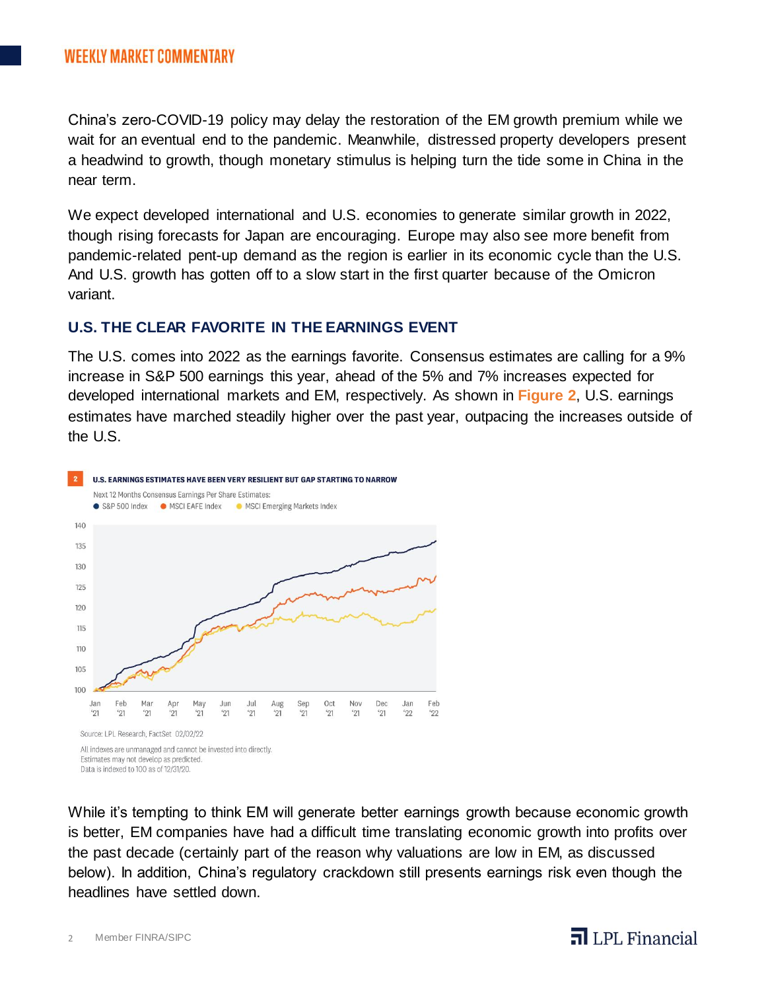China's zero-COVID-19 policy may delay the restoration of the EM growth premium while we wait for an eventual end to the pandemic. Meanwhile, distressed property developers present a headwind to growth, though monetary stimulus is helping turn the tide some in China in the near term.

We expect developed international and U.S. economies to generate similar growth in 2022, though rising forecasts for Japan are encouraging. Europe may also see more benefit from pandemic-related pent-up demand as the region is earlier in its economic cycle than the U.S. And U.S. growth has gotten off to a slow start in the first quarter because of the Omicron variant.

### **U.S. THE CLEAR FAVORITE IN THE EARNINGS EVENT**

The U.S. comes into 2022 as the earnings favorite. Consensus estimates are calling for a 9% increase in S&P 500 earnings this year, ahead of the 5% and 7% increases expected for developed international markets and EM, respectively. As shown in **Figure 2**, U.S. earnings estimates have marched steadily higher over the past year, outpacing the increases outside of the U.S.



While it's tempting to think EM will generate better earnings growth because economic growth is better, EM companies have had a difficult time translating economic growth into profits over the past decade (certainly part of the reason why valuations are low in EM, as discussed below). In addition, China's regulatory crackdown still presents earnings risk even though the headlines have settled down.

# $\overline{\mathbf{a}}$  LPL Financial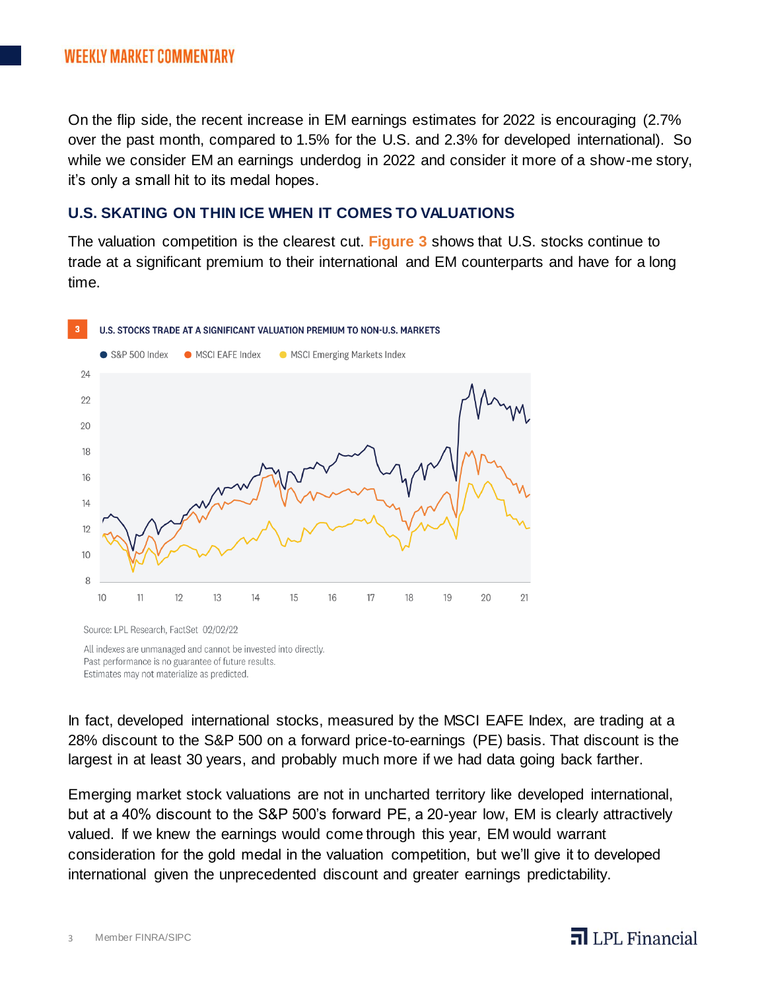On the flip side, the recent increase in EM earnings estimates for 2022 is encouraging (2.7% over the past month, compared to 1.5% for the U.S. and 2.3% for developed international). So while we consider EM an earnings underdog in 2022 and consider it more of a show-me story, it's only a small hit to its medal hopes.

### **U.S. SKATING ON THIN ICE WHEN IT COMES TO VALUATIONS**

The valuation competition is the clearest cut. **Figure 3** shows that U.S. stocks continue to trade at a significant premium to their international and EM counterparts and have for a long time.





Source: LPL Research, FactSet 02/02/22

All indexes are unmanaged and cannot be invested into directly. Past performance is no guarantee of future results. Estimates may not materialize as predicted.

In fact, developed international stocks, measured by the MSCI EAFE Index, are trading at a 28% discount to the S&P 500 on a forward price-to-earnings (PE) basis. That discount is the largest in at least 30 years, and probably much more if we had data going back farther.

Emerging market stock valuations are not in uncharted territory like developed international, but at a 40% discount to the S&P 500's forward PE, a 20-year low, EM is clearly attractively valued. If we knew the earnings would come through this year, EM would warrant consideration for the gold medal in the valuation competition, but we'll give it to developed international given the unprecedented discount and greater earnings predictability.

# $\overline{\mathbf{d}}$  LPL Financial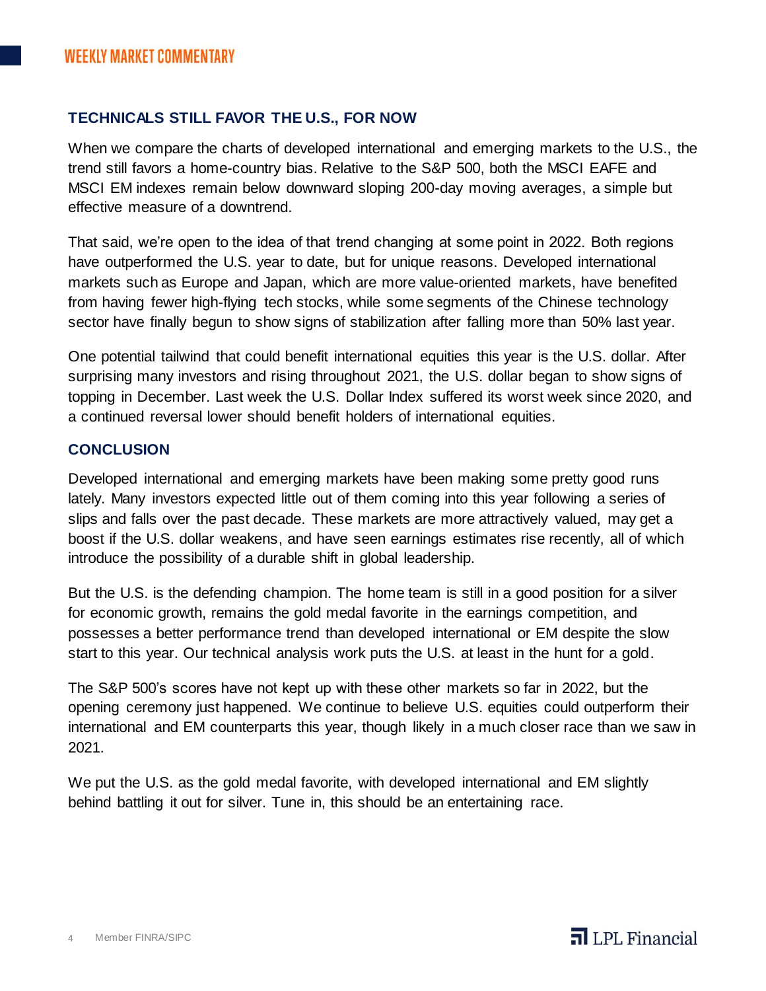### **TECHNICALS STILL FAVOR THE U.S., FOR NOW**

When we compare the charts of developed international and emerging markets to the U.S., the trend still favors a home-country bias. Relative to the S&P 500, both the MSCI EAFE and MSCI EM indexes remain below downward sloping 200-day moving averages, a simple but effective measure of a downtrend.

That said, we're open to the idea of that trend changing at some point in 2022. Both regions have outperformed the U.S. year to date, but for unique reasons. Developed international markets such as Europe and Japan, which are more value-oriented markets, have benefited from having fewer high-flying tech stocks, while some segments of the Chinese technology sector have finally begun to show signs of stabilization after falling more than 50% last year.

One potential tailwind that could benefit international equities this year is the U.S. dollar. After surprising many investors and rising throughout 2021, the U.S. dollar began to show signs of topping in December. Last week the U.S. Dollar Index suffered its worst week since 2020, and a continued reversal lower should benefit holders of international equities.

### **CONCLUSION**

Developed international and emerging markets have been making some pretty good runs lately. Many investors expected little out of them coming into this year following a series of slips and falls over the past decade. These markets are more attractively valued, may get a boost if the U.S. dollar weakens, and have seen earnings estimates rise recently, all of which introduce the possibility of a durable shift in global leadership.

But the U.S. is the defending champion. The home team is still in a good position for a silver for economic growth, remains the gold medal favorite in the earnings competition, and possesses a better performance trend than developed international or EM despite the slow start to this year. Our technical analysis work puts the U.S. at least in the hunt for a gold.

The S&P 500's scores have not kept up with these other markets so far in 2022, but the opening ceremony just happened. We continue to believe U.S. equities could outperform their international and EM counterparts this year, though likely in a much closer race than we saw in 2021.

We put the U.S. as the gold medal favorite, with developed international and EM slightly behind battling it out for silver. Tune in, this should be an entertaining race.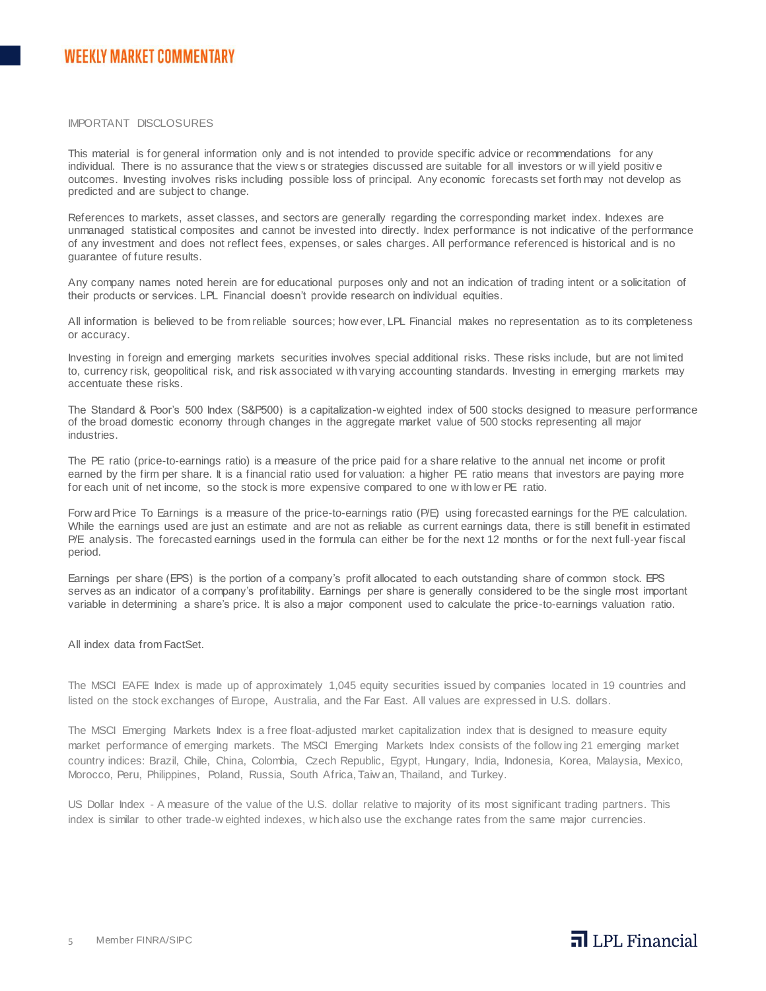### IMPORTANT DISCLOSURES

This material is for general information only and is not intended to provide specific advice or recommendations for any individual. There is no assurance that the view s or strategies discussed are suitable for all investors or will yield positive outcomes. Investing involves risks including possible loss of principal. Any economic forecasts set forth may not develop as predicted and are subject to change.

References to markets, asset classes, and sectors are generally regarding the corresponding market index. Indexes are unmanaged statistical composites and cannot be invested into directly. Index performance is not indicative of the performance of any investment and does not reflect fees, expenses, or sales charges. All performance referenced is historical and is no guarantee of future results.

Any company names noted herein are for educational purposes only and not an indication of trading intent or a solicitation of their products or services. LPL Financial doesn't provide research on individual equities.

All information is believed to be from reliable sources; how ever, LPL Financial makes no representation as to its completeness or accuracy.

Investing in foreign and emerging markets securities involves special additional risks. These risks include, but are not limited to, currency risk, geopolitical risk, and risk associated w ith varying accounting standards. Investing in emerging markets may accentuate these risks.

The Standard & Poor's 500 Index (S&P500) is a capitalization-w eighted index of 500 stocks designed to measure performance of the broad domestic economy through changes in the aggregate market value of 500 stocks representing all major industries.

The PE ratio (price-to-earnings ratio) is a measure of the price paid for a share relative to the annual net income or profit earned by the firm per share. It is a financial ratio used for valuation: a higher PE ratio means that investors are paying more for each unit of net income, so the stock is more expensive compared to one w ith low er PE ratio.

Forw ard Price To Earnings is a measure of the price-to-earnings ratio (P/E) using forecasted earnings for the P/E calculation. While the earnings used are just an estimate and are not as reliable as current earnings data, there is still benefit in estimated P/E analysis. The forecasted earnings used in the formula can either be for the next 12 months or for the next full-year fiscal period.

Earnings per share (EPS) is the portion of a company's profit allocated to each outstanding share of common stock. EPS serves as an indicator of a company's profitability. Earnings per share is generally considered to be the single most important variable in determining a share's price. It is also a major component used to calculate the price-to-earnings valuation ratio.

All index data from FactSet.

The MSCI EAFE Index is made up of approximately 1,045 equity securities issued by companies located in 19 countries and listed on the stock exchanges of Europe, Australia, and the Far East. All values are expressed in U.S. dollars.

The MSCI Emerging Markets Index is a free float-adjusted market capitalization index that is designed to measure equity market performance of emerging markets. The MSCI Emerging Markets Index consists of the follow ing 21 emerging market country indices: Brazil, Chile, China, Colombia, Czech Republic, Egypt, Hungary, India, Indonesia, Korea, Malaysia, Mexico, Morocco, Peru, Philippines, Poland, Russia, South Africa, Taiw an, Thailand, and Turkey.

US Dollar Index - A measure of the value of the U.S. dollar relative to majority of its most significant trading partners. This index is similar to other trade-w eighted indexes, w hich also use the exchange rates from the same major currencies.

## $\overline{\mathbf{a}}$  LPL Financial